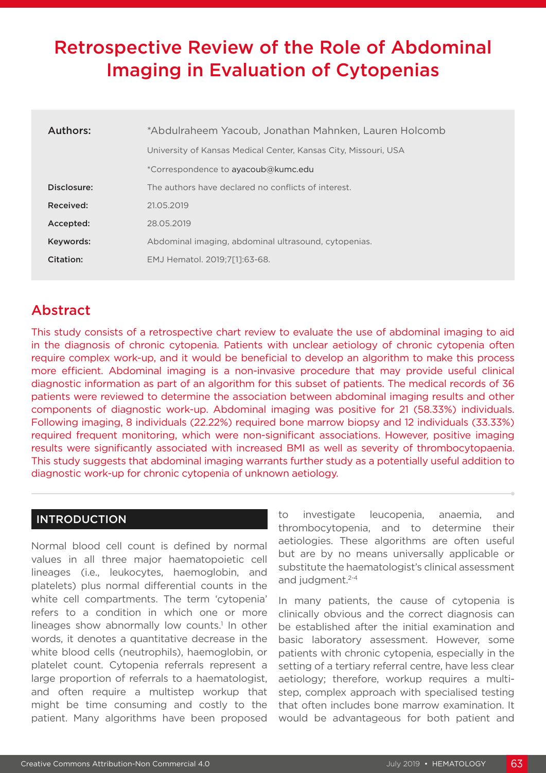# Retrospective Review of the Role of Abdominal Imaging in Evaluation of Cytopenias

| Authors:    | *Abdulraheem Yacoub, Jonathan Mahnken, Lauren Holcomb           |
|-------------|-----------------------------------------------------------------|
|             | University of Kansas Medical Center, Kansas City, Missouri, USA |
|             | *Correspondence to ayacoub@kumc.edu                             |
| Disclosure: | The authors have declared no conflicts of interest.             |
| Received:   | 21.05.2019                                                      |
| Accepted:   | 28.05.2019                                                      |
| Keywords:   | Abdominal imaging, abdominal ultrasound, cytopenias.            |
| Citation:   | EMJ Hematol. 2019:7[11:63-68.                                   |

# Abstract

This study consists of a retrospective chart review to evaluate the use of abdominal imaging to aid in the diagnosis of chronic cytopenia. Patients with unclear aetiology of chronic cytopenia often require complex work-up, and it would be beneficial to develop an algorithm to make this process more efficient. Abdominal imaging is a non-invasive procedure that may provide useful clinical diagnostic information as part of an algorithm for this subset of patients. The medical records of 36 patients were reviewed to determine the association between abdominal imaging results and other components of diagnostic work-up. Abdominal imaging was positive for 21 (58.33%) individuals. Following imaging, 8 individuals (22.22%) required bone marrow biopsy and 12 individuals (33.33%) required frequent monitoring, which were non-significant associations. However, positive imaging results were significantly associated with increased BMI as well as severity of thrombocytopaenia. This study suggests that abdominal imaging warrants further study as a potentially useful addition to diagnostic work-up for chronic cytopenia of unknown aetiology.

## INTRODUCTION

Normal blood cell count is defined by normal values in all three major haematopoietic cell lineages (i.e., leukocytes, haemoglobin, and platelets) plus normal differential counts in the white cell compartments. The term 'cytopenia' refers to a condition in which one or more lineages show abnormally low counts.<sup>1</sup> In other words, it denotes a quantitative decrease in the white blood cells (neutrophils), haemoglobin, or platelet count. Cytopenia referrals represent a large proportion of referrals to a haematologist, and often require a multistep workup that might be time consuming and costly to the patient. Many algorithms have been proposed

to investigate leucopenia, anaemia, and thrombocytopenia, and to determine their aetiologies. These algorithms are often useful but are by no means universally applicable or substitute the haematologist's clinical assessment and judgment.<sup>2-4</sup>

In many patients, the cause of cytopenia is clinically obvious and the correct diagnosis can be established after the initial examination and basic laboratory assessment. However, some patients with chronic cytopenia, especially in the setting of a tertiary referral centre, have less clear aetiology; therefore, workup requires a multistep, complex approach with specialised testing that often includes bone marrow examination. It would be advantageous for both patient and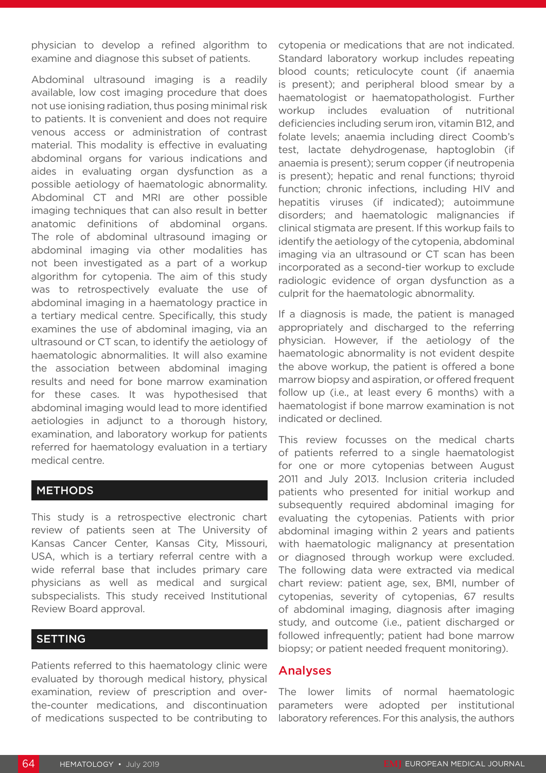physician to develop a refined algorithm to examine and diagnose this subset of patients.

Abdominal ultrasound imaging is a readily available, low cost imaging procedure that does not use ionising radiation, thus posing minimal risk to patients. It is convenient and does not require venous access or administration of contrast material. This modality is effective in evaluating abdominal organs for various indications and aides in evaluating organ dysfunction as a possible aetiology of haematologic abnormality. Abdominal CT and MRI are other possible imaging techniques that can also result in better anatomic definitions of abdominal organs. The role of abdominal ultrasound imaging or abdominal imaging via other modalities has not been investigated as a part of a workup algorithm for cytopenia. The aim of this study was to retrospectively evaluate the use of abdominal imaging in a haematology practice in a tertiary medical centre. Specifically, this study examines the use of abdominal imaging, via an ultrasound or CT scan, to identify the aetiology of haematologic abnormalities. It will also examine the association between abdominal imaging results and need for bone marrow examination for these cases. It was hypothesised that abdominal imaging would lead to more identified aetiologies in adjunct to a thorough history, examination, and laboratory workup for patients referred for haematology evaluation in a tertiary medical centre.

#### **METHODS**

This study is a retrospective electronic chart review of patients seen at The University of Kansas Cancer Center, Kansas City, Missouri, USA, which is a tertiary referral centre with a wide referral base that includes primary care physicians as well as medical and surgical subspecialists. This study received Institutional Review Board approval.

#### SETTING

Patients referred to this haematology clinic were evaluated by thorough medical history, physical examination, review of prescription and overthe-counter medications, and discontinuation of medications suspected to be contributing to

cytopenia or medications that are not indicated. Standard laboratory workup includes repeating blood counts; reticulocyte count (if anaemia is present); and peripheral blood smear by a haematologist or haematopathologist. Further workup includes evaluation of nutritional deficiencies including serum iron, vitamin B12, and folate levels; anaemia including direct Coomb's test, lactate dehydrogenase, haptoglobin (if anaemia is present); serum copper (if neutropenia is present); hepatic and renal functions; thyroid function; chronic infections, including HIV and hepatitis viruses (if indicated); autoimmune disorders; and haematologic malignancies if clinical stigmata are present. If this workup fails to identify the aetiology of the cytopenia, abdominal imaging via an ultrasound or CT scan has been incorporated as a second-tier workup to exclude radiologic evidence of organ dysfunction as a culprit for the haematologic abnormality.

If a diagnosis is made, the patient is managed appropriately and discharged to the referring physician. However, if the aetiology of the haematologic abnormality is not evident despite the above workup, the patient is offered a bone marrow biopsy and aspiration, or offered frequent follow up (i.e., at least every 6 months) with a haematologist if bone marrow examination is not indicated or declined.

This review focusses on the medical charts of patients referred to a single haematologist for one or more cytopenias between August 2011 and July 2013. Inclusion criteria included patients who presented for initial workup and subsequently required abdominal imaging for evaluating the cytopenias. Patients with prior abdominal imaging within 2 years and patients with haematologic malignancy at presentation or diagnosed through workup were excluded. The following data were extracted via medical chart review: patient age, sex, BMI, number of cytopenias, severity of cytopenias, 67 results of abdominal imaging, diagnosis after imaging study, and outcome (i.e., patient discharged or followed infrequently; patient had bone marrow biopsy; or patient needed frequent monitoring).

#### Analyses

The lower limits of normal haematologic parameters were adopted per institutional laboratory references. For this analysis, the authors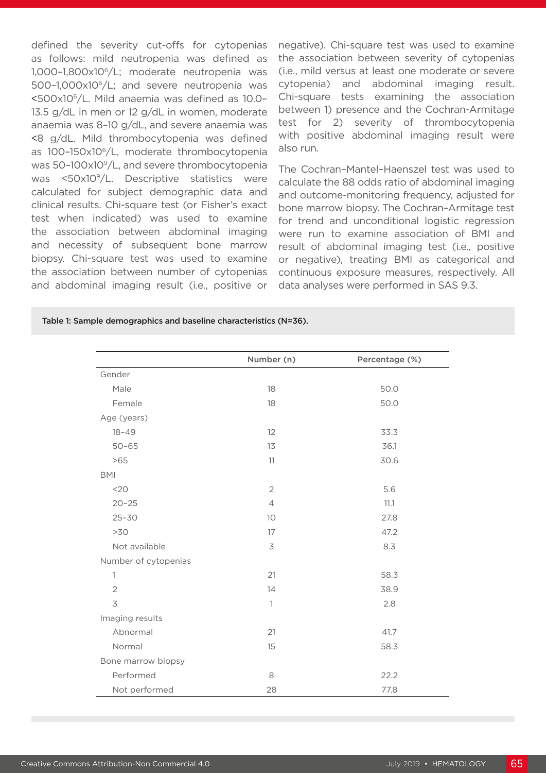defined the severity cut-offs for cytopenias as follows: mild neutropenia was defined as 1,000–1,800x106/L; moderate neutropenia was 500-1,000x10<sup>6</sup>/L; and severe neutropenia was <500x106/L. Mild anaemia was defined as 10.0– 13.5 g/dL in men or 12 g/dL in women, moderate anaemia was 8–10 g/dL, and severe anaemia was <8 g/dL. Mild thrombocytopenia was defined as 100-150x10<sup>6</sup>/L, moderate thrombocytopenia was 50–100x109/L, and severe thrombocytopenia was <50x109/L. Descriptive statistics were calculated for subject demographic data and clinical results. Chi-square test (or Fisher's exact test when indicated) was used to examine the association between abdominal imaging and necessity of subsequent bone marrow biopsy. Chi-square test was used to examine the association between number of cytopenias and abdominal imaging result (i.e., positive or negative). Chi-square test was used to examine the association between severity of cytopenias (i.e., mild versus at least one moderate or severe cytopenia) and abdominal imaging result. Chi-square tests examining the association between 1) presence and the Cochran-Armitage test for 2) severity of thrombocytopenia with positive abdominal imaging result were also run.

The Cochran–Mantel–Haenszel test was used to calculate the 88 odds ratio of abdominal imaging and outcome-monitoring frequency, adjusted for bone marrow biopsy. The Cochran–Armitage test for trend and unconditional logistic regression were run to examine association of BMI and result of abdominal imaging test (i.e., positive or negative), treating BMI as categorical and continuous exposure measures, respectively. All data analyses were performed in SAS 9.3.

#### Table 1: Sample demographics and baseline characteristics (N=36).

|                      | Number (n)     | Percentage (%) |
|----------------------|----------------|----------------|
| Gender               |                |                |
| Male                 | 18             | 50.0           |
| Female               | 18             | 50.0           |
| Age (years)          |                |                |
| $18 - 49$            | 12             | 33.3           |
| $50 - 65$            | 13             | 36.1           |
| >65                  | 11             | 30.6           |
| BMI                  |                |                |
| $<$ 20               | 2              | 5.6            |
| $20 - 25$            | $\overline{4}$ | 11.1           |
| $25 - 30$            | 10             | 27.8           |
| >30                  | 17             | 47.2           |
| Not available        | 3              | 8.3            |
| Number of cytopenias |                |                |
| $\mathbb{1}$         | 21             | 58.3           |
| 2                    | 14             | 38.9           |
| 3                    | 1              | 2.8            |
| Imaging results      |                |                |
| Abnormal             | 21             | 41.7           |
| Normal               | 15             | 58.3           |
| Bone marrow biopsy   |                |                |
| Performed            | 8              | 22.2           |
| Not performed        | 28             | 77.8           |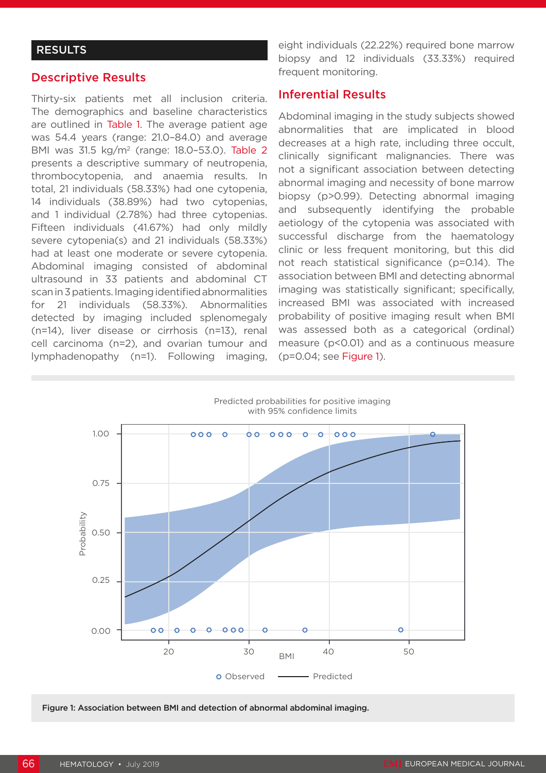#### **RESULTS**

#### Descriptive Results

Thirty-six patients met all inclusion criteria. The demographics and baseline characteristics are outlined in Table 1. The average patient age was 54.4 years (range: 21.0–84.0) and average BMI was 31.5 kg/m2 (range: 18.0–53.0). Table 2 presents a descriptive summary of neutropenia, thrombocytopenia, and anaemia results. In total, 21 individuals (58.33%) had one cytopenia, 14 individuals (38.89%) had two cytopenias, and 1 individual (2.78%) had three cytopenias. Fifteen individuals (41.67%) had only mildly severe cytopenia(s) and 21 individuals (58.33%) had at least one moderate or severe cytopenia. Abdominal imaging consisted of abdominal ultrasound in 33 patients and abdominal CT scan in 3 patients. Imaging identified abnormalities for 21 individuals (58.33%). Abnormalities detected by imaging included splenomegaly (n=14), liver disease or cirrhosis (n=13), renal cell carcinoma (n=2), and ovarian tumour and lymphadenopathy (n=1). Following imaging, eight individuals (22.22%) required bone marrow biopsy and 12 individuals (33.33%) required frequent monitoring.

#### Inferential Results

Abdominal imaging in the study subjects showed abnormalities that are implicated in blood decreases at a high rate, including three occult, clinically significant malignancies. There was not a significant association between detecting abnormal imaging and necessity of bone marrow biopsy (p>0.99). Detecting abnormal imaging and subsequently identifying the probable aetiology of the cytopenia was associated with successful discharge from the haematology clinic or less frequent monitoring, but this did not reach statistical significance (p=0.14). The association between BMI and detecting abnormal imaging was statistically significant; specifically, increased BMI was associated with increased probability of positive imaging result when BMI was assessed both as a categorical (ordinal) measure (p<0.01) and as a continuous measure (p=0.04; see Figure 1).



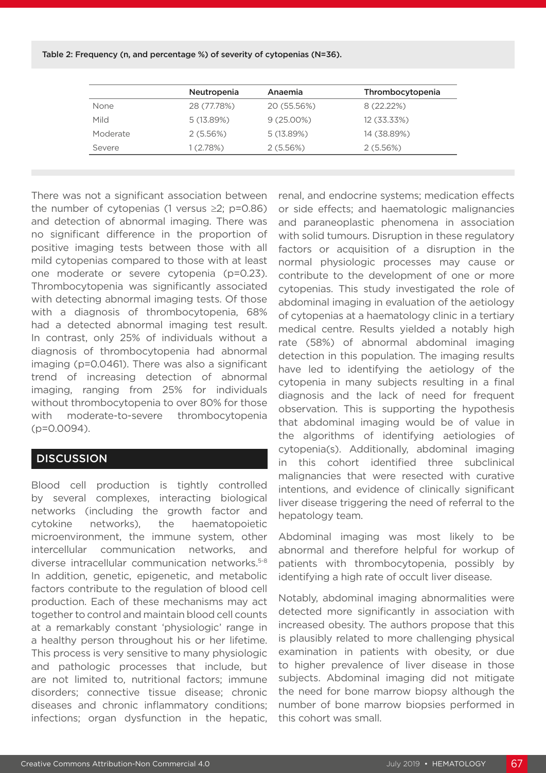Table 2: Frequency (n, and percentage %) of severity of cytopenias (N=36).

|          | Neutropenia | Anaemia      | Thrombocytopenia |
|----------|-------------|--------------|------------------|
| None     | 28 (77.78%) | 20 (55.56%)  | 8(22.22%)        |
| Mild     | 5(13.89%)   | $9(25.00\%)$ | 12 (33.33%)      |
| Moderate | 2(5.56%)    | 5(13.89%)    | 14 (38.89%)      |
| Severe   | 1 (2.78%)   | 2(5.56%)     | 2(5.56%)         |

There was not a significant association between the number of cytopenias (1 versus  $\geq$ 2; p=0.86) and detection of abnormal imaging. There was no significant difference in the proportion of positive imaging tests between those with all mild cytopenias compared to those with at least one moderate or severe cytopenia (p=0.23). Thrombocytopenia was significantly associated with detecting abnormal imaging tests. Of those with a diagnosis of thrombocytopenia, 68% had a detected abnormal imaging test result. In contrast, only 25% of individuals without a diagnosis of thrombocytopenia had abnormal imaging (p=0.0461). There was also a significant trend of increasing detection of abnormal imaging, ranging from 25% for individuals without thrombocytopenia to over 80% for those with moderate-to-severe thrombocytopenia (p=0.0094).

## **DISCUSSION**

Blood cell production is tightly controlled by several complexes, interacting biological networks (including the growth factor and cytokine networks), the haematopoietic microenvironment, the immune system, other intercellular communication networks, and diverse intracellular communication networks.<sup>5-8</sup> In addition, genetic, epigenetic, and metabolic factors contribute to the regulation of blood cell production. Each of these mechanisms may act together to control and maintain blood cell counts at a remarkably constant 'physiologic' range in a healthy person throughout his or her lifetime. This process is very sensitive to many physiologic and pathologic processes that include, but are not limited to, nutritional factors; immune disorders; connective tissue disease; chronic diseases and chronic inflammatory conditions; infections; organ dysfunction in the hepatic, renal, and endocrine systems; medication effects or side effects; and haematologic malignancies and paraneoplastic phenomena in association with solid tumours. Disruption in these regulatory factors or acquisition of a disruption in the normal physiologic processes may cause or contribute to the development of one or more cytopenias. This study investigated the role of abdominal imaging in evaluation of the aetiology of cytopenias at a haematology clinic in a tertiary medical centre. Results yielded a notably high rate (58%) of abnormal abdominal imaging detection in this population. The imaging results have led to identifying the aetiology of the cytopenia in many subjects resulting in a final diagnosis and the lack of need for frequent observation. This is supporting the hypothesis that abdominal imaging would be of value in the algorithms of identifying aetiologies of cytopenia(s). Additionally, abdominal imaging in this cohort identified three subclinical malignancies that were resected with curative intentions, and evidence of clinically significant liver disease triggering the need of referral to the hepatology team.

Abdominal imaging was most likely to be abnormal and therefore helpful for workup of patients with thrombocytopenia, possibly by identifying a high rate of occult liver disease.

Notably, abdominal imaging abnormalities were detected more significantly in association with increased obesity. The authors propose that this is plausibly related to more challenging physical examination in patients with obesity, or due to higher prevalence of liver disease in those subjects. Abdominal imaging did not mitigate the need for bone marrow biopsy although the number of bone marrow biopsies performed in this cohort was small.